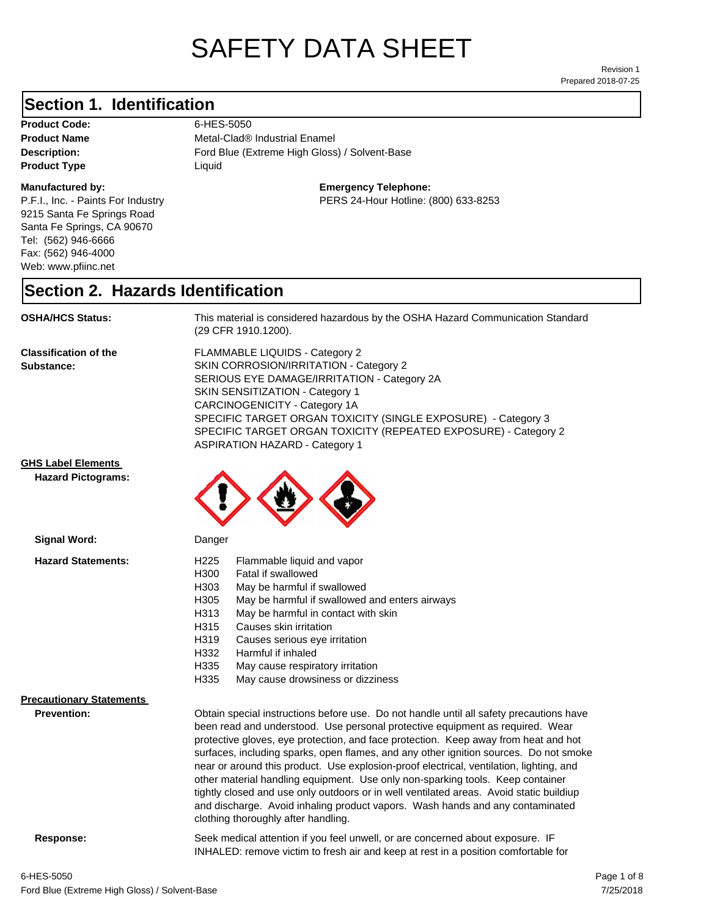# SAFETY DATA SHEET

Prepared 2018-07-25 Revision 1

### **Section 1. Identification**

Product Code: 6-HES-5050 **Product Type Liquid Liquid** 

#### **Manufactured by:**

P.F.I., Inc. - Paints For Industry 9215 Santa Fe Springs Road Santa Fe Springs, CA 90670 Tel: (562) 946-6666 Fax: (562) 946-4000 Web: www.pfiinc.net

Description: **Extreme High Gloss**) / Solvent-Base **Product Name** Metal-Clad<sup>®</sup> Industrial Enamel

**Emergency Telephone:**

PERS 24-Hour Hotline: (800) 633-8253

#### **Section 2. Hazards Identification**

**OSHA/HCS Status:** This material is considered hazardous by the OSHA Hazard Communication Standard (29 CFR 1910.1200).

**Classification of the Substance:**

FLAMMABLE LIQUIDS - Category 2 SKIN CORROSION/IRRITATION - Category 2 SERIOUS EYE DAMAGE/IRRITATION - Category 2A SKIN SENSITIZATION - Category 1 CARCINOGENICITY - Category 1A SPECIFIC TARGET ORGAN TOXICITY (SINGLE EXPOSURE) - Category 3 SPECIFIC TARGET ORGAN TOXICITY (REPEATED EXPOSURE) - Category 2 ASPIRATION HAZARD - Category 1

#### **GHS Label Elements**

**Signal Word:**

**Hazard Pictograms:**



| <b>Hazard Statements:</b>       | Flammable liquid and vapor<br>H <sub>225</sub><br>H300<br>Fatal if swallowed<br>H303<br>May be harmful if swallowed<br>H305<br>May be harmful if swallowed and enters airways<br>H313<br>May be harmful in contact with skin<br>H315<br>Causes skin irritation<br>H319<br>Causes serious eye irritation<br>H332<br>Harmful if inhaled<br>H335<br>May cause respiratory irritation<br>H335<br>May cause drowsiness or dizziness                                                                                                                                                                                                                                                                                                                           |  |
|---------------------------------|----------------------------------------------------------------------------------------------------------------------------------------------------------------------------------------------------------------------------------------------------------------------------------------------------------------------------------------------------------------------------------------------------------------------------------------------------------------------------------------------------------------------------------------------------------------------------------------------------------------------------------------------------------------------------------------------------------------------------------------------------------|--|
| <b>Precautionary Statements</b> |                                                                                                                                                                                                                                                                                                                                                                                                                                                                                                                                                                                                                                                                                                                                                          |  |
| Prevention:                     | Obtain special instructions before use. Do not handle until all safety precautions have<br>been read and understood. Use personal protective equipment as required. Wear<br>protective gloves, eye protection, and face protection. Keep away from heat and hot<br>surfaces, including sparks, open flames, and any other ignition sources. Do not smoke<br>near or around this product. Use explosion-proof electrical, ventilation, lighting, and<br>other material handling equipment. Use only non-sparking tools. Keep container<br>tightly closed and use only outdoors or in well ventilated areas. Avoid static buildiup<br>and discharge. Avoid inhaling product vapors. Wash hands and any contaminated<br>clothing thoroughly after handling. |  |
| Response:                       | Seek medical attention if you feel unwell, or are concerned about exposure. IF<br>INHALED: remove victim to fresh air and keep at rest in a position comfortable for                                                                                                                                                                                                                                                                                                                                                                                                                                                                                                                                                                                     |  |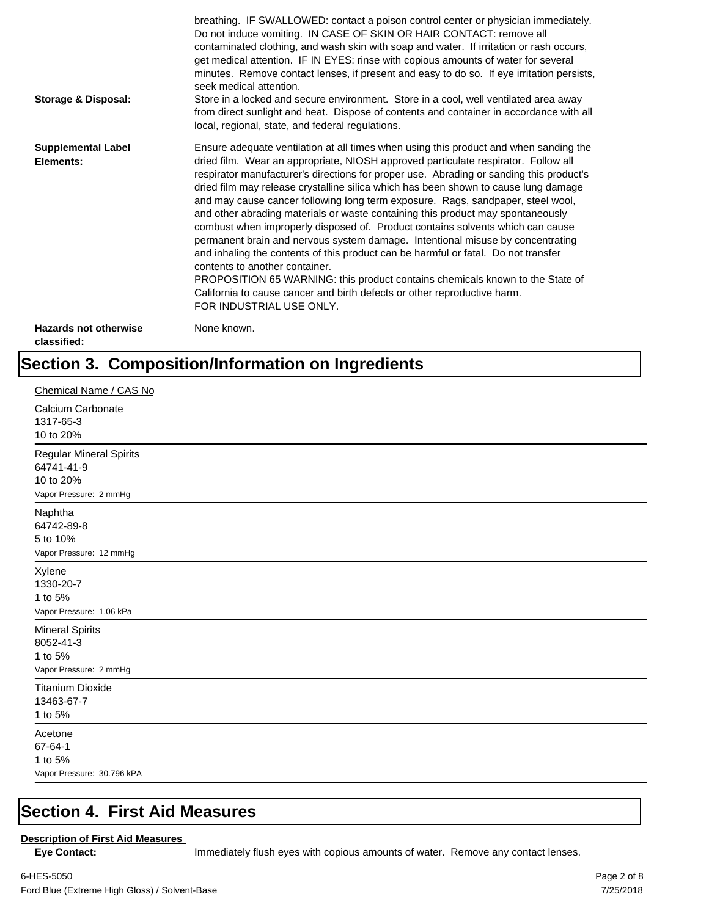| Storage & Disposal:                         | breathing. IF SWALLOWED: contact a poison control center or physician immediately.<br>Do not induce vomiting. IN CASE OF SKIN OR HAIR CONTACT: remove all<br>contaminated clothing, and wash skin with soap and water. If irritation or rash occurs,<br>get medical attention. IF IN EYES: rinse with copious amounts of water for several<br>minutes. Remove contact lenses, if present and easy to do so. If eye irritation persists,<br>seek medical attention.<br>Store in a locked and secure environment. Store in a cool, well ventilated area away<br>from direct sunlight and heat. Dispose of contents and container in accordance with all<br>local, regional, state, and federal regulations.                                                                                                                                                                                                                                                                                                                |
|---------------------------------------------|--------------------------------------------------------------------------------------------------------------------------------------------------------------------------------------------------------------------------------------------------------------------------------------------------------------------------------------------------------------------------------------------------------------------------------------------------------------------------------------------------------------------------------------------------------------------------------------------------------------------------------------------------------------------------------------------------------------------------------------------------------------------------------------------------------------------------------------------------------------------------------------------------------------------------------------------------------------------------------------------------------------------------|
| <b>Supplemental Label</b><br>Elements:      | Ensure adequate ventilation at all times when using this product and when sanding the<br>dried film. Wear an appropriate, NIOSH approved particulate respirator. Follow all<br>respirator manufacturer's directions for proper use. Abrading or sanding this product's<br>dried film may release crystalline silica which has been shown to cause lung damage<br>and may cause cancer following long term exposure. Rags, sandpaper, steel wool,<br>and other abrading materials or waste containing this product may spontaneously<br>combust when improperly disposed of. Product contains solvents which can cause<br>permanent brain and nervous system damage. Intentional misuse by concentrating<br>and inhaling the contents of this product can be harmful or fatal. Do not transfer<br>contents to another container.<br>PROPOSITION 65 WARNING: this product contains chemicals known to the State of<br>California to cause cancer and birth defects or other reproductive harm.<br>FOR INDUSTRIAL USE ONLY. |
| <b>Hazards not otherwise</b><br>classified: | None known.                                                                                                                                                                                                                                                                                                                                                                                                                                                                                                                                                                                                                                                                                                                                                                                                                                                                                                                                                                                                              |

## **Section 3. Composition/Information on Ingredients**

| Chemical Name / CAS No                                                              |
|-------------------------------------------------------------------------------------|
| Calcium Carbonate<br>1317-65-3<br>10 to 20%                                         |
| <b>Regular Mineral Spirits</b><br>64741-41-9<br>10 to 20%<br>Vapor Pressure: 2 mmHg |
| Naphtha<br>64742-89-8<br>5 to 10%<br>Vapor Pressure: 12 mmHg                        |
| Xylene<br>1330-20-7<br>1 to 5%<br>Vapor Pressure: 1.06 kPa                          |
| <b>Mineral Spirits</b><br>8052-41-3<br>1 to 5%<br>Vapor Pressure: 2 mmHg            |
| <b>Titanium Dioxide</b><br>13463-67-7<br>1 to 5%                                    |
| Acetone<br>67-64-1<br>1 to 5%<br>Vapor Pressure: 30.796 kPA                         |

#### **Section 4. First Aid Measures**

#### **Description of First Aid Measures**

Eye Contact: **IMMED** Immediately flush eyes with copious amounts of water. Remove any contact lenses.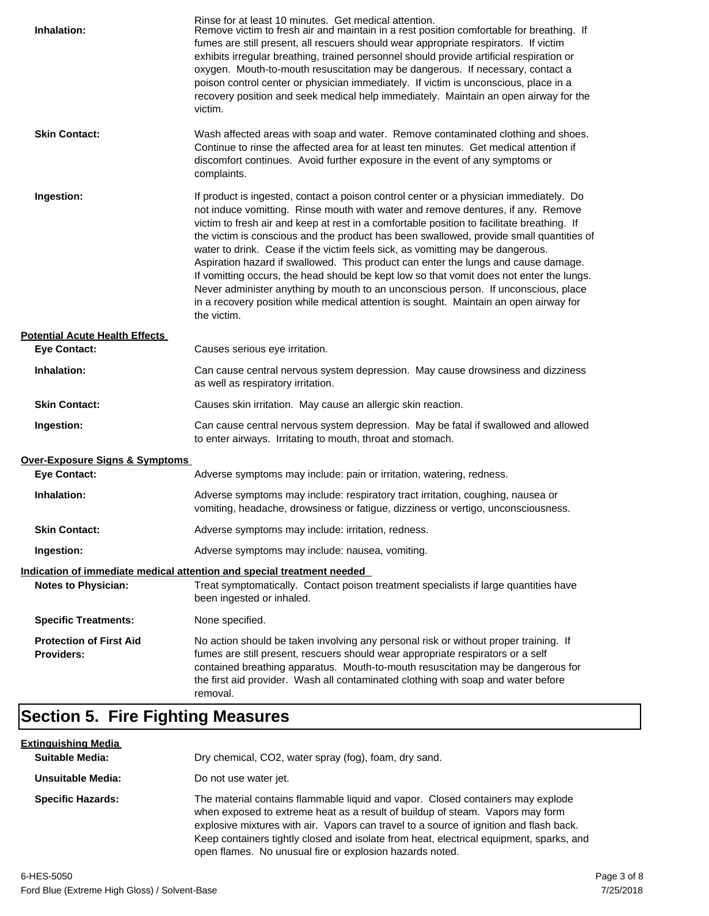| Inhalation:                                         | Rinse for at least 10 minutes. Get medical attention.<br>Remove victim to fresh air and maintain in a rest position comfortable for breathing. If<br>fumes are still present, all rescuers should wear appropriate respirators. If victim<br>exhibits irregular breathing, trained personnel should provide artificial respiration or<br>oxygen. Mouth-to-mouth resuscitation may be dangerous. If necessary, contact a<br>poison control center or physician immediately. If victim is unconscious, place in a<br>recovery position and seek medical help immediately. Maintain an open airway for the<br>victim.                                                                                                                                                                                                                    |
|-----------------------------------------------------|---------------------------------------------------------------------------------------------------------------------------------------------------------------------------------------------------------------------------------------------------------------------------------------------------------------------------------------------------------------------------------------------------------------------------------------------------------------------------------------------------------------------------------------------------------------------------------------------------------------------------------------------------------------------------------------------------------------------------------------------------------------------------------------------------------------------------------------|
| <b>Skin Contact:</b>                                | Wash affected areas with soap and water. Remove contaminated clothing and shoes.<br>Continue to rinse the affected area for at least ten minutes. Get medical attention if<br>discomfort continues. Avoid further exposure in the event of any symptoms or<br>complaints.                                                                                                                                                                                                                                                                                                                                                                                                                                                                                                                                                             |
| Ingestion:                                          | If product is ingested, contact a poison control center or a physician immediately. Do<br>not induce vomitting. Rinse mouth with water and remove dentures, if any. Remove<br>victim to fresh air and keep at rest in a comfortable position to facilitate breathing. If<br>the victim is conscious and the product has been swallowed, provide small quantities of<br>water to drink. Cease if the victim feels sick, as vomitting may be dangerous.<br>Aspiration hazard if swallowed. This product can enter the lungs and cause damage.<br>If vomitting occurs, the head should be kept low so that vomit does not enter the lungs.<br>Never administer anything by mouth to an unconscious person. If unconscious, place<br>in a recovery position while medical attention is sought. Maintain an open airway for<br>the victim. |
| <b>Potential Acute Health Effects</b>               |                                                                                                                                                                                                                                                                                                                                                                                                                                                                                                                                                                                                                                                                                                                                                                                                                                       |
| <b>Eye Contact:</b>                                 | Causes serious eye irritation.                                                                                                                                                                                                                                                                                                                                                                                                                                                                                                                                                                                                                                                                                                                                                                                                        |
| Inhalation:                                         | Can cause central nervous system depression. May cause drowsiness and dizziness<br>as well as respiratory irritation.                                                                                                                                                                                                                                                                                                                                                                                                                                                                                                                                                                                                                                                                                                                 |
| <b>Skin Contact:</b>                                | Causes skin irritation. May cause an allergic skin reaction.                                                                                                                                                                                                                                                                                                                                                                                                                                                                                                                                                                                                                                                                                                                                                                          |
| Ingestion:                                          | Can cause central nervous system depression. May be fatal if swallowed and allowed<br>to enter airways. Irritating to mouth, throat and stomach.                                                                                                                                                                                                                                                                                                                                                                                                                                                                                                                                                                                                                                                                                      |
| <b>Over-Exposure Signs &amp; Symptoms</b>           |                                                                                                                                                                                                                                                                                                                                                                                                                                                                                                                                                                                                                                                                                                                                                                                                                                       |
| <b>Eye Contact:</b>                                 | Adverse symptoms may include: pain or irritation, watering, redness.                                                                                                                                                                                                                                                                                                                                                                                                                                                                                                                                                                                                                                                                                                                                                                  |
| Inhalation:                                         | Adverse symptoms may include: respiratory tract irritation, coughing, nausea or<br>vomiting, headache, drowsiness or fatigue, dizziness or vertigo, unconsciousness.                                                                                                                                                                                                                                                                                                                                                                                                                                                                                                                                                                                                                                                                  |
| <b>Skin Contact:</b>                                | Adverse symptoms may include: irritation, redness.                                                                                                                                                                                                                                                                                                                                                                                                                                                                                                                                                                                                                                                                                                                                                                                    |
| Ingestion:                                          | Adverse symptoms may include: nausea, vomiting.                                                                                                                                                                                                                                                                                                                                                                                                                                                                                                                                                                                                                                                                                                                                                                                       |
|                                                     | Indication of immediate medical attention and special treatment needed                                                                                                                                                                                                                                                                                                                                                                                                                                                                                                                                                                                                                                                                                                                                                                |
| <b>Notes to Physician:</b>                          | Treat symptomatically. Contact poison treatment specialists if large quantities have<br>been ingested or inhaled.                                                                                                                                                                                                                                                                                                                                                                                                                                                                                                                                                                                                                                                                                                                     |
| <b>Specific Treatments:</b>                         | None specified.                                                                                                                                                                                                                                                                                                                                                                                                                                                                                                                                                                                                                                                                                                                                                                                                                       |
| <b>Protection of First Aid</b><br><b>Providers:</b> | No action should be taken involving any personal risk or without proper training. If<br>fumes are still present, rescuers should wear appropriate respirators or a self<br>contained breathing apparatus. Mouth-to-mouth resuscitation may be dangerous for<br>the first aid provider. Wash all contaminated clothing with soap and water before<br>removal.                                                                                                                                                                                                                                                                                                                                                                                                                                                                          |

## **Section 5. Fire Fighting Measures**

| <u>Extinguishing Media</u><br><b>Suitable Media:</b> | Dry chemical, CO2, water spray (fog), foam, dry sand.                                                                                                                                                                                                                                                                                                                                                             |
|------------------------------------------------------|-------------------------------------------------------------------------------------------------------------------------------------------------------------------------------------------------------------------------------------------------------------------------------------------------------------------------------------------------------------------------------------------------------------------|
| Unsuitable Media:                                    | Do not use water jet.                                                                                                                                                                                                                                                                                                                                                                                             |
| <b>Specific Hazards:</b>                             | The material contains flammable liquid and vapor. Closed containers may explode<br>when exposed to extreme heat as a result of buildup of steam. Vapors may form<br>explosive mixtures with air. Vapors can travel to a source of ignition and flash back.<br>Keep containers tightly closed and isolate from heat, electrical equipment, sparks, and<br>open flames. No unusual fire or explosion hazards noted. |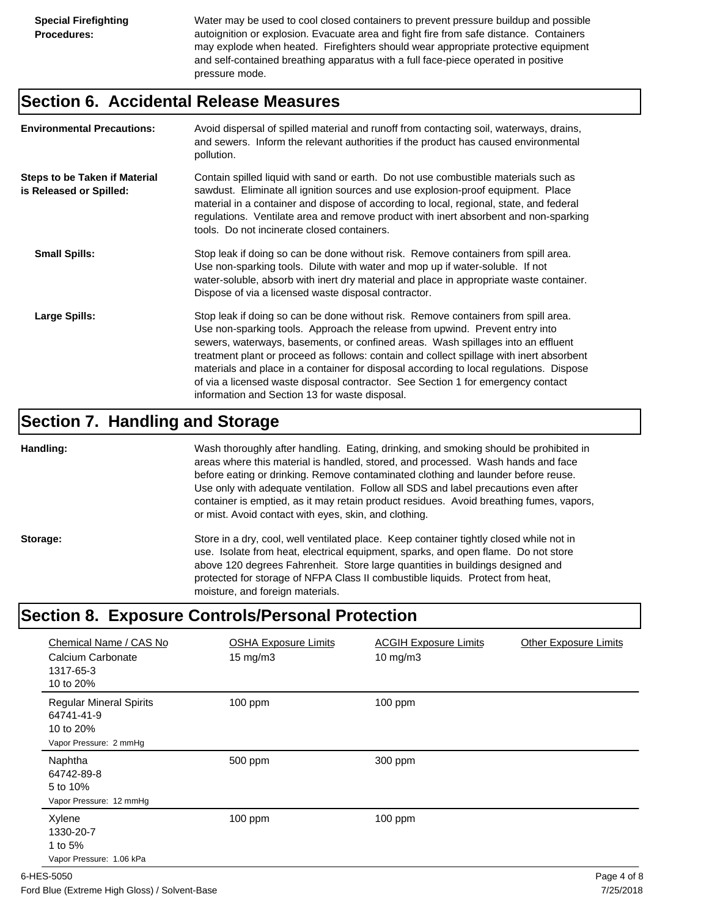Water may be used to cool closed containers to prevent pressure buildup and possible autoignition or explosion. Evacuate area and fight fire from safe distance. Containers may explode when heated. Firefighters should wear appropriate protective equipment and self-contained breathing apparatus with a full face-piece operated in positive pressure mode.

#### **Section 6. Accidental Release Measures**

| <b>Environmental Precautions:</b>                               | Avoid dispersal of spilled material and runoff from contacting soil, waterways, drains,<br>and sewers. Inform the relevant authorities if the product has caused environmental<br>pollution.                                                                                                                                                                                                                                                                                                                                                                                        |
|-----------------------------------------------------------------|-------------------------------------------------------------------------------------------------------------------------------------------------------------------------------------------------------------------------------------------------------------------------------------------------------------------------------------------------------------------------------------------------------------------------------------------------------------------------------------------------------------------------------------------------------------------------------------|
| <b>Steps to be Taken if Material</b><br>is Released or Spilled: | Contain spilled liquid with sand or earth. Do not use combustible materials such as<br>sawdust. Eliminate all ignition sources and use explosion-proof equipment. Place<br>material in a container and dispose of according to local, regional, state, and federal<br>regulations. Ventilate area and remove product with inert absorbent and non-sparking<br>tools. Do not incinerate closed containers.                                                                                                                                                                           |
| <b>Small Spills:</b>                                            | Stop leak if doing so can be done without risk. Remove containers from spill area.<br>Use non-sparking tools. Dilute with water and mop up if water-soluble. If not<br>water-soluble, absorb with inert dry material and place in appropriate waste container.<br>Dispose of via a licensed waste disposal contractor.                                                                                                                                                                                                                                                              |
| Large Spills:                                                   | Stop leak if doing so can be done without risk. Remove containers from spill area.<br>Use non-sparking tools. Approach the release from upwind. Prevent entry into<br>sewers, waterways, basements, or confined areas. Wash spillages into an effluent<br>treatment plant or proceed as follows: contain and collect spillage with inert absorbent<br>materials and place in a container for disposal according to local regulations. Dispose<br>of via a licensed waste disposal contractor. See Section 1 for emergency contact<br>information and Section 13 for waste disposal. |

#### **Section 7. Handling and Storage**

**Handling:** Wash thoroughly after handling. Eating, drinking, and smoking should be prohibited in areas where this material is handled, stored, and processed. Wash hands and face before eating or drinking. Remove contaminated clothing and launder before reuse. Use only with adequate ventilation. Follow all SDS and label precautions even after container is emptied, as it may retain product residues. Avoid breathing fumes, vapors, or mist. Avoid contact with eyes, skin, and clothing.

Storage: Store in a dry, cool, well ventilated place. Keep container tightly closed while not in use. Isolate from heat, electrical equipment, sparks, and open flame. Do not store above 120 degrees Fahrenheit. Store large quantities in buildings designed and protected for storage of NFPA Class II combustible liquids. Protect from heat, moisture, and foreign materials.

## **Section 8. Exposure Controls/Personal Protection**

| Chemical Name / CAS No<br>Calcium Carbonate<br>1317-65-3<br>10 to 20%               | <b>OSHA Exposure Limits</b><br>$15 \text{ mg/m}$ | <b>ACGIH Exposure Limits</b><br>10 mg/m $3$ | <b>Other Exposure Limits</b> |
|-------------------------------------------------------------------------------------|--------------------------------------------------|---------------------------------------------|------------------------------|
| <b>Regular Mineral Spirits</b><br>64741-41-9<br>10 to 20%<br>Vapor Pressure: 2 mmHg | $100$ ppm                                        | 100 ppm                                     |                              |
| Naphtha<br>64742-89-8<br>5 to 10%<br>Vapor Pressure: 12 mmHg                        | 500 ppm                                          | 300 ppm                                     |                              |
| Xylene<br>1330-20-7<br>1 to 5%<br>Vapor Pressure: 1.06 kPa                          | $100$ ppm                                        | $100$ ppm                                   |                              |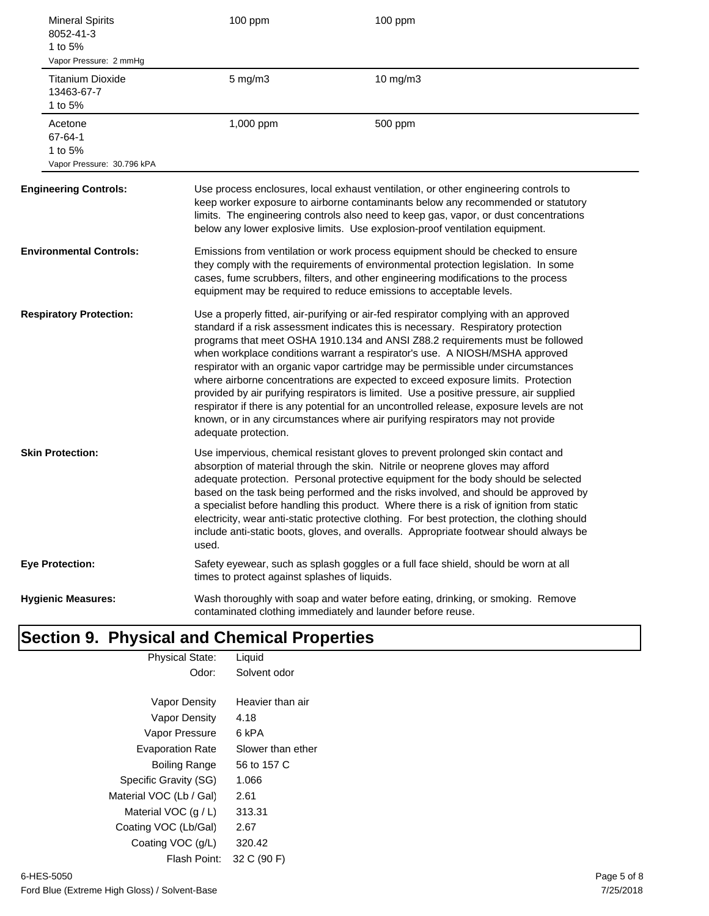| <b>Mineral Spirits</b><br>8052-41-3<br>1 to 5%<br>Vapor Pressure: 2 mmHg | 100 ppm                                       | 100 ppm                                                                                                                                                                                                                                                                                                                                                                                                                                                                                                                                                                                                                                                                                                                                                                                       |  |  |
|--------------------------------------------------------------------------|-----------------------------------------------|-----------------------------------------------------------------------------------------------------------------------------------------------------------------------------------------------------------------------------------------------------------------------------------------------------------------------------------------------------------------------------------------------------------------------------------------------------------------------------------------------------------------------------------------------------------------------------------------------------------------------------------------------------------------------------------------------------------------------------------------------------------------------------------------------|--|--|
| <b>Titanium Dioxide</b><br>13463-67-7<br>1 to 5%                         | $5$ mg/m $3$                                  | 10 mg/m3                                                                                                                                                                                                                                                                                                                                                                                                                                                                                                                                                                                                                                                                                                                                                                                      |  |  |
| Acetone<br>67-64-1<br>1 to 5%<br>Vapor Pressure: 30.796 kPA              | 1,000 ppm                                     | 500 ppm                                                                                                                                                                                                                                                                                                                                                                                                                                                                                                                                                                                                                                                                                                                                                                                       |  |  |
| <b>Engineering Controls:</b>                                             |                                               | Use process enclosures, local exhaust ventilation, or other engineering controls to<br>keep worker exposure to airborne contaminants below any recommended or statutory<br>limits. The engineering controls also need to keep gas, vapor, or dust concentrations<br>below any lower explosive limits. Use explosion-proof ventilation equipment.                                                                                                                                                                                                                                                                                                                                                                                                                                              |  |  |
| <b>Environmental Controls:</b>                                           |                                               | Emissions from ventilation or work process equipment should be checked to ensure<br>they comply with the requirements of environmental protection legislation. In some<br>cases, fume scrubbers, filters, and other engineering modifications to the process<br>equipment may be required to reduce emissions to acceptable levels.                                                                                                                                                                                                                                                                                                                                                                                                                                                           |  |  |
| <b>Respiratory Protection:</b>                                           | adequate protection.                          | Use a properly fitted, air-purifying or air-fed respirator complying with an approved<br>standard if a risk assessment indicates this is necessary. Respiratory protection<br>programs that meet OSHA 1910.134 and ANSI Z88.2 requirements must be followed<br>when workplace conditions warrant a respirator's use. A NIOSH/MSHA approved<br>respirator with an organic vapor cartridge may be permissible under circumstances<br>where airborne concentrations are expected to exceed exposure limits. Protection<br>provided by air purifying respirators is limited. Use a positive pressure, air supplied<br>respirator if there is any potential for an uncontrolled release, exposure levels are not<br>known, or in any circumstances where air purifying respirators may not provide |  |  |
| <b>Skin Protection:</b>                                                  | used.                                         | Use impervious, chemical resistant gloves to prevent prolonged skin contact and<br>absorption of material through the skin. Nitrile or neoprene gloves may afford<br>adequate protection. Personal protective equipment for the body should be selected<br>based on the task being performed and the risks involved, and should be approved by<br>a specialist before handling this product. Where there is a risk of ignition from static<br>electricity, wear anti-static protective clothing. For best protection, the clothing should<br>include anti-static boots, gloves, and overalls. Appropriate footwear should always be                                                                                                                                                           |  |  |
| <b>Eye Protection:</b>                                                   | times to protect against splashes of liquids. | Safety eyewear, such as splash goggles or a full face shield, should be worn at all                                                                                                                                                                                                                                                                                                                                                                                                                                                                                                                                                                                                                                                                                                           |  |  |
| <b>Hygienic Measures:</b>                                                |                                               | Wash thoroughly with soap and water before eating, drinking, or smoking. Remove<br>contaminated clothing immediately and launder before reuse.                                                                                                                                                                                                                                                                                                                                                                                                                                                                                                                                                                                                                                                |  |  |

#### **Section 9. Physical and Chemical Properties** Physical State: Liquid

| Odor:                   | Solvent odor      |
|-------------------------|-------------------|
|                         |                   |
| Vapor Density           | Heavier than air  |
| <b>Vapor Density</b>    | 4.18              |
| Vapor Pressure          | 6 kPA             |
| <b>Evaporation Rate</b> | Slower than ether |
| <b>Boiling Range</b>    | 56 to 157 C       |
| Specific Gravity (SG)   | 1.066             |
| Material VOC (Lb / Gal) | 2.61              |
| Material VOC $(q/L)$    | 313.31            |
| Coating VOC (Lb/Gal)    | 2.67              |
| Coating VOC (g/L)       | 320.42            |
| Flash Point:            | 32 C (90 F)       |
|                         |                   |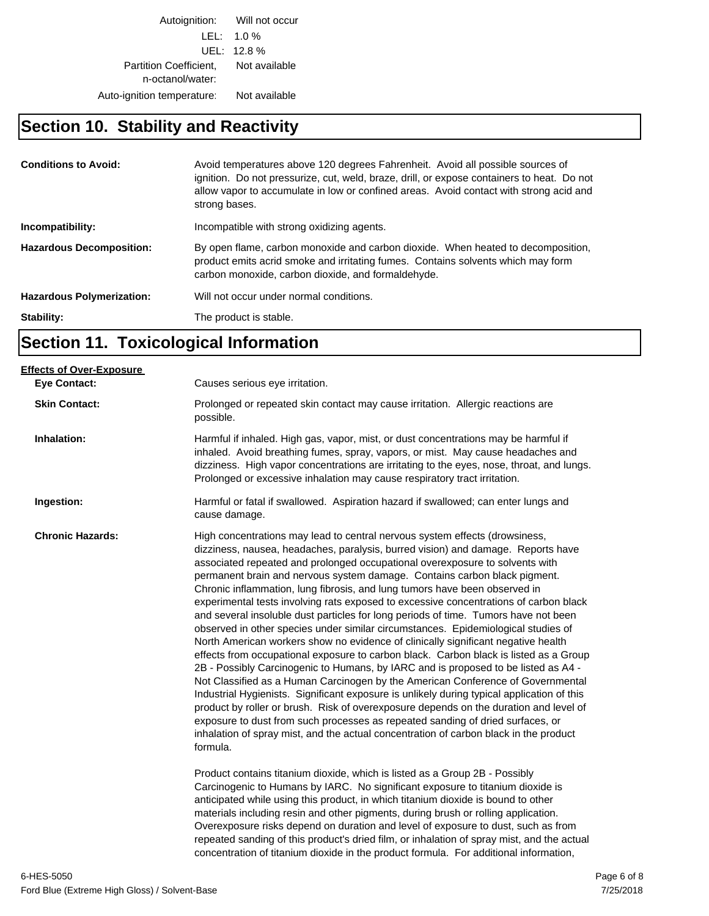Autoignition: Will not occur LEL: 1.0 % UEL: 12.8 % Partition Coefficient, Not available n-octanol/water: Auto-ignition temperature: Not available

## **Section 10. Stability and Reactivity**

| <b>Conditions to Avoid:</b>      | Avoid temperatures above 120 degrees Fahrenheit. Avoid all possible sources of<br>ignition. Do not pressurize, cut, weld, braze, drill, or expose containers to heat. Do not<br>allow vapor to accumulate in low or confined areas. Avoid contact with strong acid and<br>strong bases. |
|----------------------------------|-----------------------------------------------------------------------------------------------------------------------------------------------------------------------------------------------------------------------------------------------------------------------------------------|
| Incompatibility:                 | Incompatible with strong oxidizing agents.                                                                                                                                                                                                                                              |
| <b>Hazardous Decomposition:</b>  | By open flame, carbon monoxide and carbon dioxide. When heated to decomposition,<br>product emits acrid smoke and irritating fumes. Contains solvents which may form<br>carbon monoxide, carbon dioxide, and formaldehyde.                                                              |
| <b>Hazardous Polymerization:</b> | Will not occur under normal conditions.                                                                                                                                                                                                                                                 |
| Stability:                       | The product is stable.                                                                                                                                                                                                                                                                  |

## **Section 11. Toxicological Information**

| <b>Effects of Over-Exposure</b> |                                                                                                                                                                                                                                                                                                                                                                                                                                                                                                                                                                                                                                                                                                                                                                                                                                                                                                                                                                                                                                                                                                                                                                                                                                                                                                                                                                                                                                                                                                                                                                                                                                                                            |
|---------------------------------|----------------------------------------------------------------------------------------------------------------------------------------------------------------------------------------------------------------------------------------------------------------------------------------------------------------------------------------------------------------------------------------------------------------------------------------------------------------------------------------------------------------------------------------------------------------------------------------------------------------------------------------------------------------------------------------------------------------------------------------------------------------------------------------------------------------------------------------------------------------------------------------------------------------------------------------------------------------------------------------------------------------------------------------------------------------------------------------------------------------------------------------------------------------------------------------------------------------------------------------------------------------------------------------------------------------------------------------------------------------------------------------------------------------------------------------------------------------------------------------------------------------------------------------------------------------------------------------------------------------------------------------------------------------------------|
| <b>Eye Contact:</b>             | Causes serious eye irritation.                                                                                                                                                                                                                                                                                                                                                                                                                                                                                                                                                                                                                                                                                                                                                                                                                                                                                                                                                                                                                                                                                                                                                                                                                                                                                                                                                                                                                                                                                                                                                                                                                                             |
| <b>Skin Contact:</b>            | Prolonged or repeated skin contact may cause irritation. Allergic reactions are<br>possible.                                                                                                                                                                                                                                                                                                                                                                                                                                                                                                                                                                                                                                                                                                                                                                                                                                                                                                                                                                                                                                                                                                                                                                                                                                                                                                                                                                                                                                                                                                                                                                               |
| Inhalation:                     | Harmful if inhaled. High gas, vapor, mist, or dust concentrations may be harmful if<br>inhaled. Avoid breathing fumes, spray, vapors, or mist. May cause headaches and<br>dizziness. High vapor concentrations are irritating to the eyes, nose, throat, and lungs.<br>Prolonged or excessive inhalation may cause respiratory tract irritation.                                                                                                                                                                                                                                                                                                                                                                                                                                                                                                                                                                                                                                                                                                                                                                                                                                                                                                                                                                                                                                                                                                                                                                                                                                                                                                                           |
| Ingestion:                      | Harmful or fatal if swallowed. Aspiration hazard if swallowed; can enter lungs and<br>cause damage.                                                                                                                                                                                                                                                                                                                                                                                                                                                                                                                                                                                                                                                                                                                                                                                                                                                                                                                                                                                                                                                                                                                                                                                                                                                                                                                                                                                                                                                                                                                                                                        |
| <b>Chronic Hazards:</b>         | High concentrations may lead to central nervous system effects (drowsiness,<br>dizziness, nausea, headaches, paralysis, burred vision) and damage. Reports have<br>associated repeated and prolonged occupational overexposure to solvents with<br>permanent brain and nervous system damage. Contains carbon black pigment.<br>Chronic inflammation, lung fibrosis, and lung tumors have been observed in<br>experimental tests involving rats exposed to excessive concentrations of carbon black<br>and several insoluble dust particles for long periods of time. Tumors have not been<br>observed in other species under similar circumstances. Epidemiological studies of<br>North American workers show no evidence of clinically significant negative health<br>effects from occupational exposure to carbon black. Carbon black is listed as a Group<br>2B - Possibly Carcinogenic to Humans, by IARC and is proposed to be listed as A4 -<br>Not Classified as a Human Carcinogen by the American Conference of Governmental<br>Industrial Hygienists. Significant exposure is unlikely during typical application of this<br>product by roller or brush. Risk of overexposure depends on the duration and level of<br>exposure to dust from such processes as repeated sanding of dried surfaces, or<br>inhalation of spray mist, and the actual concentration of carbon black in the product<br>formula.<br>Product contains titanium dioxide, which is listed as a Group 2B - Possibly<br>Carcinogenic to Humans by IARC. No significant exposure to titanium dioxide is<br>anticipated while using this product, in which titanium dioxide is bound to other |
|                                 | materials including resin and other pigments, during brush or rolling application.<br>Overexposure risks depend on duration and level of exposure to dust, such as from<br>repeated sanding of this product's dried film, or inhalation of spray mist, and the actual<br>concentration of titanium dioxide in the product formula. For additional information,                                                                                                                                                                                                                                                                                                                                                                                                                                                                                                                                                                                                                                                                                                                                                                                                                                                                                                                                                                                                                                                                                                                                                                                                                                                                                                             |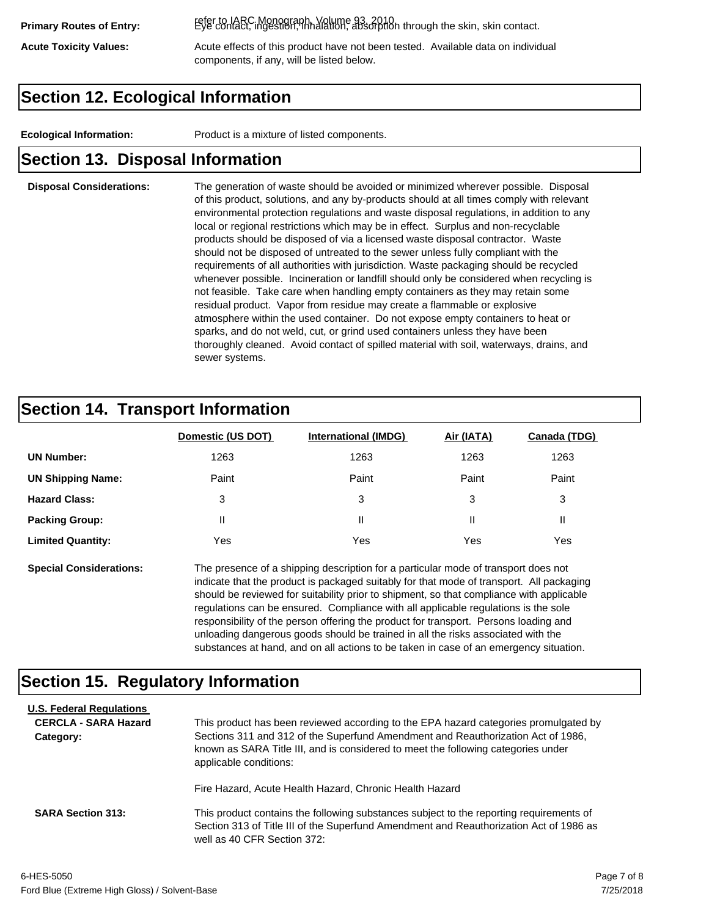refer to IARC Monograph, Volume 93, 2010. **Primary Routes of Entry:** Eye contact, ingestion, inhalation, absorption through the skin, skin contact.

Acute Toxicity Values: **Acute effects of this product have not been tested.** Available data on individual components, if any, will be listed below.

### **Section 12. Ecological Information**

**Ecological Information:** Product is a mixture of listed components.

#### **Section 13. Disposal Information**

#### **Disposal Considerations:** The generation of waste should be avoided or minimized wherever possible. Disposal of this product, solutions, and any by-products should at all times comply with relevant environmental protection regulations and waste disposal regulations, in addition to any local or regional restrictions which may be in effect. Surplus and non-recyclable products should be disposed of via a licensed waste disposal contractor. Waste should not be disposed of untreated to the sewer unless fully compliant with the requirements of all authorities with jurisdiction. Waste packaging should be recycled whenever possible. Incineration or landfill should only be considered when recycling is not feasible. Take care when handling empty containers as they may retain some residual product. Vapor from residue may create a flammable or explosive atmosphere within the used container. Do not expose empty containers to heat or sparks, and do not weld, cut, or grind used containers unless they have been thoroughly cleaned. Avoid contact of spilled material with soil, waterways, drains, and sewer systems.

#### **Section 14. Transport Information**

|                          | Domestic (US DOT) | <b>International (IMDG)</b> | Air (IATA) | <b>Canada (TDG)</b> |
|--------------------------|-------------------|-----------------------------|------------|---------------------|
| <b>UN Number:</b>        | 1263              | 1263                        | 1263       | 1263                |
| <b>UN Shipping Name:</b> | Paint             | Paint                       | Paint      | Paint               |
| <b>Hazard Class:</b>     | 3                 | 3                           | 3          | 3                   |
| <b>Packing Group:</b>    | Ш                 | Ш                           |            |                     |
| <b>Limited Quantity:</b> | Yes               | Yes                         | Yes        | Yes                 |

**Special Considerations:** The presence of a shipping description for a particular mode of transport does not indicate that the product is packaged suitably for that mode of transport. All packaging should be reviewed for suitability prior to shipment, so that compliance with applicable regulations can be ensured. Compliance with all applicable regulations is the sole responsibility of the person offering the product for transport. Persons loading and unloading dangerous goods should be trained in all the risks associated with the substances at hand, and on all actions to be taken in case of an emergency situation.

#### **Section 15. Regulatory Information**

| <b>U.S. Federal Regulations</b><br><b>CERCLA - SARA Hazard</b><br>Category: | This product has been reviewed according to the EPA hazard categories promulgated by<br>Sections 311 and 312 of the Superfund Amendment and Reauthorization Act of 1986,<br>known as SARA Title III, and is considered to meet the following categories under<br>applicable conditions: |
|-----------------------------------------------------------------------------|-----------------------------------------------------------------------------------------------------------------------------------------------------------------------------------------------------------------------------------------------------------------------------------------|
|                                                                             | Fire Hazard, Acute Health Hazard, Chronic Health Hazard                                                                                                                                                                                                                                 |
| <b>SARA Section 313:</b>                                                    | This product contains the following substances subject to the reporting requirements of<br>Section 313 of Title III of the Superfund Amendment and Reauthorization Act of 1986 as<br>well as 40 CFR Section 372:                                                                        |